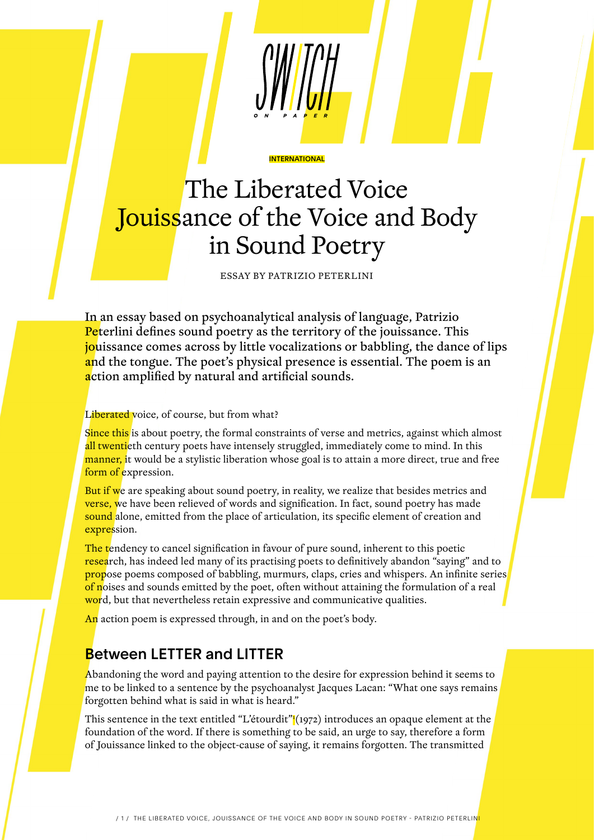# The Liberated Voice Jouissance of the Voice and Body in Sound Poetry

**INTERNATIONAL** 

ESSAY BY PATRIZIO PETERLINI

In an essay based on psychoanalytical analysis of language, Patrizio **Peterlini defines sound poetry as the territory of the jouissance. This** jouissance comes across by little vocalizations or babbling, the dance of lips and the tongue. The poet's physical presence is essential. The poem is an action amplified by natural and artificial sounds.

#### Liberated voice, of course, but from what?

Since this is about poetry, the formal constraints of verse and metrics, against which almost all twentieth century poets have intensely struggled, immediately come to mind. In this manner, it would be a stylistic liberation whose goal is to attain a more direct, true and free form of expression.

But if we are speaking about sound poetry, in reality, we realize that besides metrics and **verse, we** have been relieved of words and signification. In fact, sound poetry has made sound alone, emitted from the place of articulation, its specific element of creation and expression.

The tendency to cancel signification in favour of pure sound, inherent to this poetic research, has indeed led many of its practising poets to definitively abandon "saying" and to propose poems composed of babbling, murmurs, claps, cries and whispers. An infinite series of noises and sounds emitted by the poet, often without attaining the formulation of a real word, but that nevertheless retain expressive and communicative qualities.

An action poem is expressed through, in and on the poet's body.

#### Between LETTER and LITTER

Abandoning the word and paying attention to the desire for expression behind it seems to me to be linked to a sentence by the psychoanalyst Jacques Lacan: "What one says remains forgotten behind what is said in what is heard."

This sentence in the text entitled "L'étourdit" (1972) introduces an opaque element at the foundation of the word. If there is something to be said, an urge to say, therefore a form of Jouissance linked to the object-cause of saying, it remains forgotten. The transmitted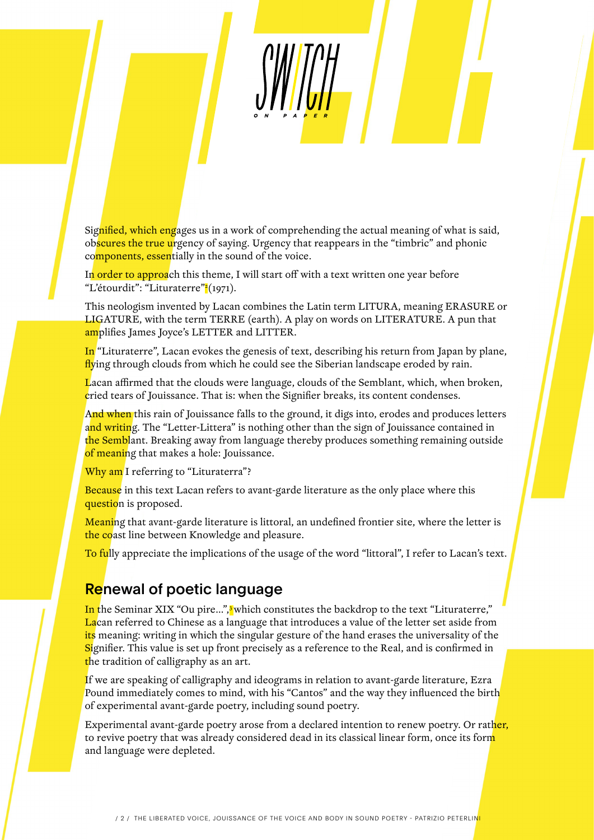Signified, which engages us in a work of comprehending the actual meaning of what is said, obscures the true urgency of saying. Urgency that reappears in the "timbric" and phonic components, essentially in the sound of the voice.

In order to approach this theme, I will start off with a text written one year before "L'étourdit": "Lituraterre"<mark>?</mark>(1971).

This neologism invented by Lacan combines the Latin term LITURA, meaning ERASURE or LIGATURE, with the term TERRE (earth). A play on words on LITERATURE. A pun that amplifies James Joyce's LETTER and LITTER.

In "Lituraterre", Lacan evokes the genesis of text, describing his return from Japan by plane, flying through clouds from which he could see the Siberian landscape eroded by rain.

Lacan affirmed that the clouds were language, clouds of the Semblant, which, when broken, cried tears of Jouissance. That is: when the Signifier breaks, its content condenses.

And when this rain of Jouissance falls to the ground, it digs into, erodes and produces letters and writing. The "Letter-Littera" is nothing other than the sign of Jouissance contained in the Semblant. Breaking away from language thereby produces something remaining outside of meaning that makes a hole: Jouissance.

Why am I referring to "Lituraterra"?

Because in this text Lacan refers to avant-garde literature as the only place where this question is proposed.

Meaning that avant-garde literature is littoral, an undefined frontier site, where the letter is the coast line between Knowledge and pleasure.

To fully appreciate the implications of the usage of the word "littoral", I refer to Lacan's text.

#### **Renewal of poetic language**

In the Seminar XIX "Ou pire...",<sup>3</sup> which constitutes the backdrop to the text "Lituraterre," Lacan referred to Chinese as a language that introduces a value of the letter set aside from its meaning: writing in which the singular gesture of the hand erases the universality of the Signifier. This value is set up front precisely as a reference to the Real, and is confirmed in the tradition of calligraphy as an art.

If we are speaking of calligraphy and ideograms in relation to avant-garde literature, Ezra Pound immediately comes to mind, with his "Cantos" and the way they influenced the birth of experimental avant-garde poetry, including sound poetry.

Experimental avant-garde poetry arose from a declared intention to renew poetry. Or rather, to revive poetry that was already considered dead in its classical linear form, once its form and language were depleted.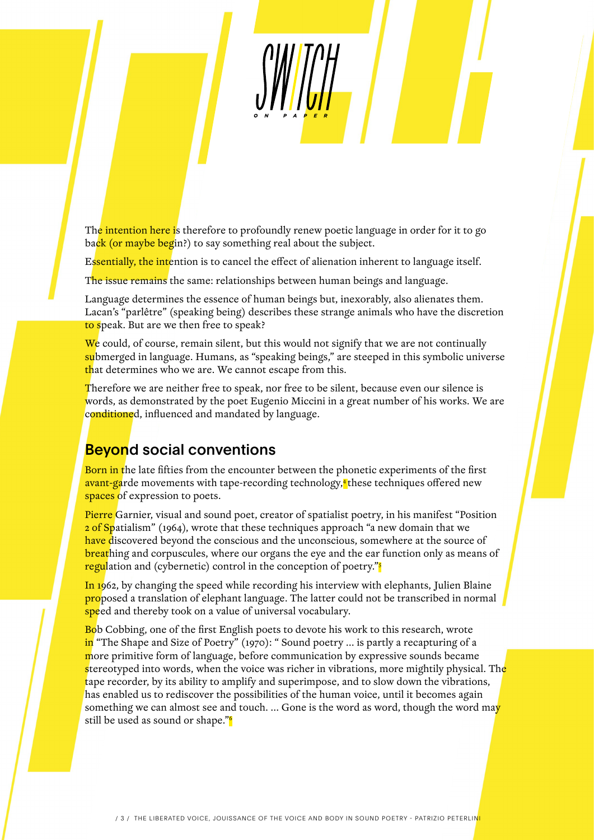The intention here is therefore to profoundly renew poetic language in order for it to go back (or maybe begin?) to say something real about the subject.

Essentially, the intention is to cancel the effect of alienation inherent to language itself.

The issue remains the same: relationships between human beings and language.

Language determines the essence of human beings but, inexorably, also alienates them. Lacan's "parlêtre" (speaking being) describes these strange animals who have the discretion to speak. But are we then free to speak?

We could, of course, remain silent, but this would not signify that we are not continually submerged in language. Humans, as "speaking beings," are steeped in this symbolic universe that determines who we are. We cannot escape from this.

Therefore we are neither free to speak, nor free to be silent, because even our silence is words, as demonstrated by the poet Eugenio Miccini in a great number of his works. We are conditioned, influenced and mandated by language.

### **Beyond social conventions**

Born in the late fifties from the encounter between the phonetic experiments of the first avant-garde movements with tape-recording technology,<sup>4</sup> these techniques offered new spaces of expression to poets.

Pierre Garnier, visual and sound poet, creator of spatialist poetry, in his manifest "Position 2 of Spatialism" (1964), wrote that these techniques approach "a new domain that we have discovered beyond the conscious and the unconscious, somewhere at the source of **breathing and corpuscules, where our organs the eye and the ear function only as means of** regulation and (cybernetic) control in the conception of poetry."

In 1962, by changing the speed while recording his interview with elephants, Julien Blaine proposed a translation of elephant language. The latter could not be transcribed in normal speed and thereby took on a value of universal vocabulary.

Bob Cobbing, one of the first English poets to devote his work to this research, wrote in "The Shape and Size of Poetry" (1970): " Sound poetry ... is partly a recapturing of a more primitive form of language, before communication by expressive sounds became stereotyped into words, when the voice was richer in vibrations, more mightily physical. The tape recorder, by its ability to amplify and superimpose, and to slow down the vibrations, has enabled us to rediscover the possibilities of the human voice, until it becomes again something we can almost see and touch. ... Gone is the word as word, though the word may still be used as sound or shape."<sup>6</sup>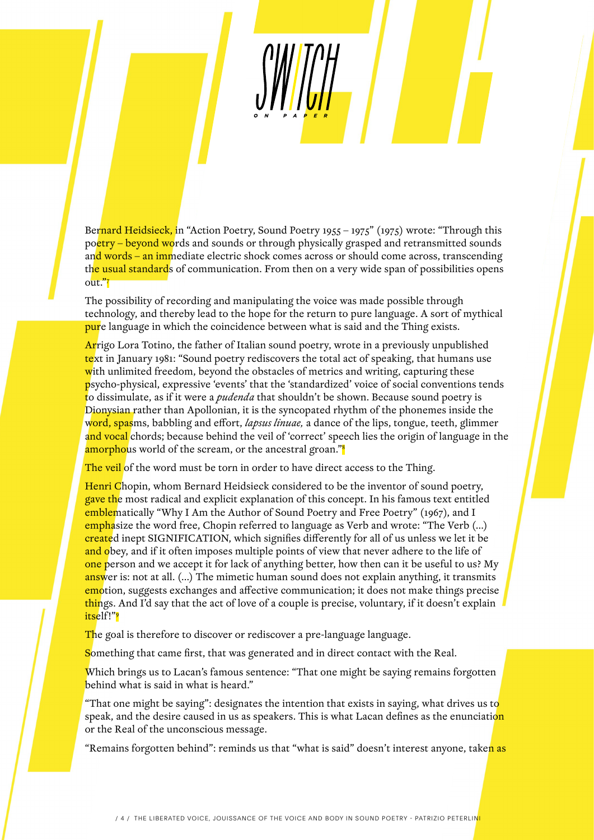Bernard Heidsieck, in "Action Poetry, Sound Poetry 1955 – 1975" (1975) wrote: "Through this poetry – beyond words and sounds or through physically grasped and retransmitted sounds and words – an immediate electric shock comes across or should come across, transcending the usual standards of communication. From then on a very wide span of possibilities opens out."7

The possibility of recording and manipulating the voice was made possible through technology, and thereby lead to the hope for the return to pure language. A sort of mythical pure language in which the coincidence between what is said and the Thing exists.

Arrigo Lora Totino, the father of Italian sound poetry, wrote in a previously unpublished text in January 1981: "Sound poetry rediscovers the total act of speaking, that humans use with unlimited freedom, beyond the obstacles of metrics and writing, capturing these psycho-physical, expressive 'events' that the 'standardized' voice of social conventions tends to dissimulate, as if it were a *pudenda* that shouldn't be shown. Because sound poetry is Dionysian rather than Apollonian, it is the syncopated rhythm of the phonemes inside the word, spasms, babbling and effort, *lapsus linuae,* a dance of the lips, tongue, teeth, glimmer and vocal chords; because behind the veil of 'correct' speech lies the origin of language in the amorphous world of the scream, or the ancestral groan."<sup>8</sup>

The veil of the word must be torn in order to have direct access to the Thing.

Henri Chopin, whom Bernard Heidsieck considered to be the inventor of sound poetry, gave the most radical and explicit explanation of this concept. In his famous text entitled emblematically "Why I Am the Author of Sound Poetry and Free Poetry" (1967), and I emphasize the word free, Chopin referred to language as Verb and wrote: "The Verb (…) created inept SIGNIFICATION, which signifies differently for all of us unless we let it be and obey, and if it often imposes multiple points of view that never adhere to the life of one person and we accept it for lack of anything better, how then can it be useful to us? My answer is: not at all. (...) The mimetic human sound does not explain anything, it transmits emotion, suggests exchanges and affective communication; it does not make things precise things. And I'd say that the act of love of a couple is precise, voluntary, if it doesn't explain itself!"9

The goal is therefore to discover or rediscover a pre-language language.

Something that came first, that was generated and in direct contact with the Real.

Which brings us to Lacan's famous sentence: "That one might be saying remains forgotten behind what is said in what is heard."

"That one might be saying": designates the intention that exists in saying, what drives us to speak, and the desire caused in us as speakers. This is what Lacan defines as the enunciation or the Real of the unconscious message.

"Remains forgotten behind": reminds us that "what is said" doesn't interest anyone, taken as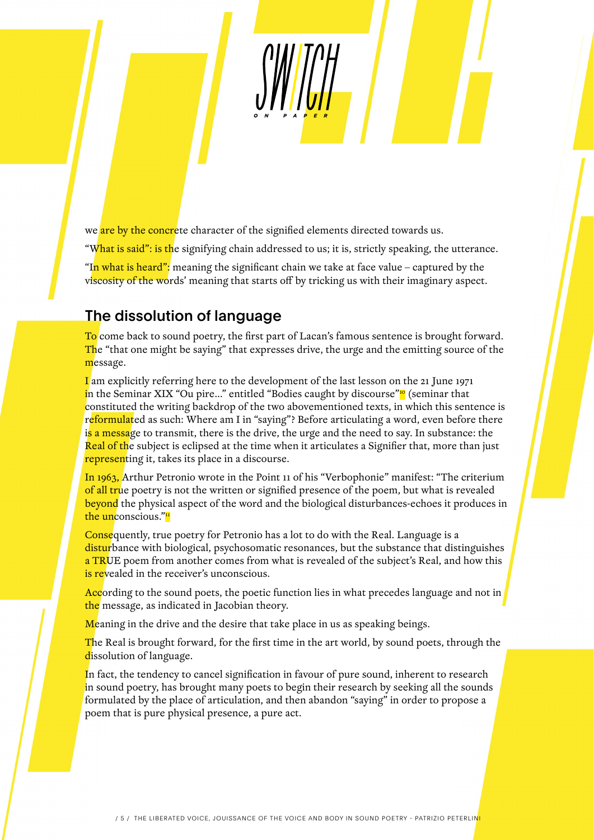we are by the concrete character of the signified elements directed towards us.

"What is said": is the signifying chain addressed to us; it is, strictly speaking, the utterance.

"In what is heard": meaning the significant chain we take at face value – captured by the viscosity of the words' meaning that starts off by tricking us with their imaginary aspect.

#### The dissolution of language

To come back to sound poetry, the first part of Lacan's famous sentence is brought forward. The "that one might be saying" that expresses drive, the urge and the emitting source of the message.

I am explicitly referring here to the development of the last lesson on the 21 June 1971 in the Seminar XIX "Ou pire..." entitled "Bodies caught by discourse" $\frac{10}{10}$  (seminar that constituted the writing backdrop of the two abovementioned texts, in which this sentence is reformulated as such: Where am I in "saying"? Before articulating a word, even before there is a message to transmit, there is the drive, the urge and the need to say. In substance: the Real of the subject is eclipsed at the time when it articulates a Signifier that, more than just representing it, takes its place in a discourse.

In 1963, Arthur Petronio wrote in the Point 11 of his "Verbophonie" manifest: "The criterium of all true poetry is not the written or signified presence of the poem, but what is revealed beyond the physical aspect of the word and the biological disturbances-echoes it produces in the unconscious."<sup>11</sup>

Consequently, true poetry for Petronio has a lot to do with the Real. Language is a disturbance with biological, psychosomatic resonances, but the substance that distinguishes a TRUE poem from another comes from what is revealed of the subject's Real, and how this is revealed in the receiver's unconscious.

According to the sound poets, the poetic function lies in what precedes language and not in the message, as indicated in Jacobian theory.

Meaning in the drive and the desire that take place in us as speaking beings.

The Real is brought forward, for the first time in the art world, by sound poets, through the dissolution of language.

In fact, the tendency to cancel signification in favour of pure sound, inherent to research in sound poetry, has brought many poets to begin their research by seeking all the sounds formulated by the place of articulation, and then abandon "saying" in order to propose a poem that is pure physical presence, a pure act.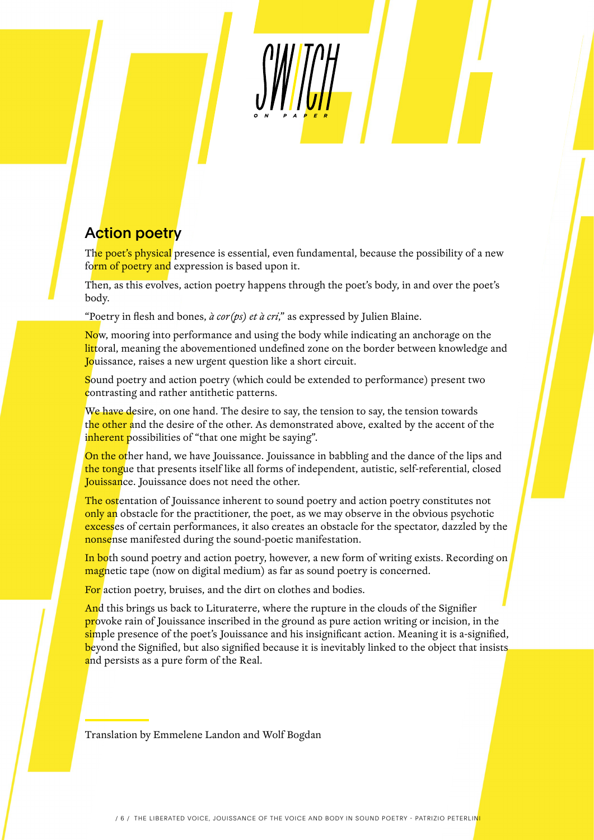## Action poetry

The poet's physical presence is essential, even fundamental, because the possibility of a new form of poetry and expression is based upon it.

Then, as this evolves, action poetry happens through the poet's body, in and over the poet's body.

"Poetry in flesh and bones,  $\hat{a}$  cor(ps) et  $\hat{a}$  cri," as expressed by Julien Blaine.

Now, mooring into performance and using the body while indicating an anchorage on the littoral, meaning the abovementioned undefined zone on the border between knowledge and Jouissance, raises a new urgent question like a short circuit.

Sound poetry and action poetry (which could be extended to performance) present two contrasting and rather antithetic patterns.

We have desire, on one hand. The desire to say, the tension to say, the tension towards the other and the desire of the other. As demonstrated above, exalted by the accent of the inherent possibilities of "that one might be saying".

On the other hand, we have Jouissance. Jouissance in babbling and the dance of the lips and the tongue that presents itself like all forms of independent, autistic, self-referential, closed Jouissance. Jouissance does not need the other.

The ostentation of Jouissance inherent to sound poetry and action poetry constitutes not only an obstacle for the practitioner, the poet, as we may observe in the obvious psychotic excesses of certain performances, it also creates an obstacle for the spectator, dazzled by the nonsense manifested during the sound-poetic manifestation.

In both sound poetry and action poetry, however, a new form of writing exists. Recording on magnetic tape (now on digital medium) as far as sound poetry is concerned.

For action poetry, bruises, and the dirt on clothes and bodies.

And this brings us back to Lituraterre, where the rupture in the clouds of the Signifier provoke rain of Jouissance inscribed in the ground as pure action writing or incision, in the simple presence of the poet's Jouissance and his insignificant action. Meaning it is a-signified, beyond the Signified, but also signified because it is inevitably linked to the object that insists and persists as a pure form of the Real.

Translation by Emmelene Landon and Wolf Bogdan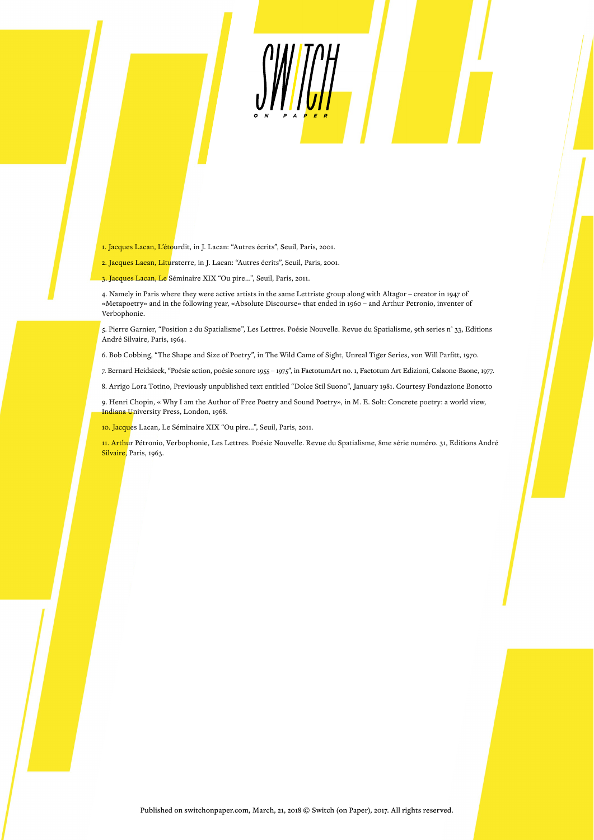- 1. Jacques Lacan, L'étourdit, in J. Lacan: "Autres écrits", Seuil, Paris, 2001.
- 2. Jacques Lacan, Lituraterre, in J. Lacan: "Autres écrits", Seuil, Paris, 2001.
- 3. Jacques Lacan, Le Séminaire XIX "Ou pire…", Seuil, Paris, 2011.

4. Namely in Paris where they were active artists in the same Lettriste group along with Altagor – creator in 1947 of «Metapoetry» and in the following year, «Absolute Discourse» that ended in 1960 – and Arthur Petronio, inventer of Verbophonie.

5. Pierre Garnier, "Position 2 du Spatialisme", Les Lettres. Poésie Nouvelle. Revue du Spatialisme, 9th series n° 33, Editions André Silvaire, Paris, 1964.

SWITCH

6. Bob Cobbing, "The Shape and Size of Poetry", in The Wild Came of Sight, Unreal Tiger Series, von Will Parfitt, 1970.

7. Bernard Heidsieck, "Poésie action, poésie sonore 1955 – 1975", in FactotumArt no. 1, Factotum Art Edizioni, Calaone-Baone, 1977.

8. Arrigo Lora Totino, Previously unpublished text entitled "Dolce Stil Suono", January 1981. Courtesy Fondazione Bonotto

9. Henri Chopin, « Why I am the Author of Free Poetry and Sound Poetry», in M. E. Solt: Concrete poetry: a world view, Indiana University Press, London, 1968.

10. Jacques Lacan, Le Séminaire XIX "Ou pire…", Seuil, Paris, 2011.

11. Arthur Pétronio, Verbophonie, Les Lettres. Poésie Nouvelle. Revue du Spatialisme, 8me série numéro. 31, Editions André Silvaire, Paris, 1963.